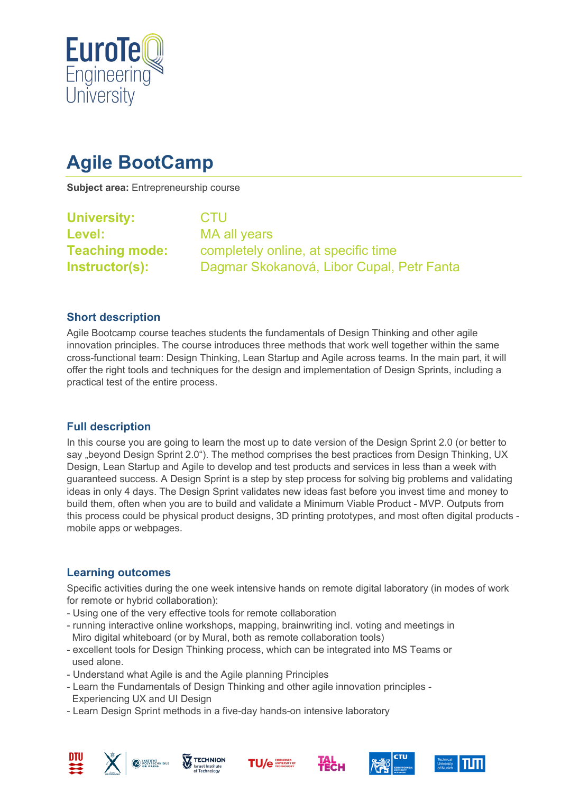

# **Agile BootCamp**

**Subject area:** Entrepreneurship course

| <b>University:</b>    | <b>CTU</b>                                |  |  |
|-----------------------|-------------------------------------------|--|--|
| Level:                | MA all years                              |  |  |
| <b>Teaching mode:</b> | completely online, at specific time       |  |  |
| Instructor(s):        | Dagmar Skokanová, Libor Cupal, Petr Fanta |  |  |
|                       |                                           |  |  |

#### **Short description**

Agile Bootcamp course teaches students the fundamentals of Design Thinking and other agile innovation principles. The course introduces three methods that work well together within the same cross-functional team: Design Thinking, Lean Startup and Agile across teams. In the main part, it will offer the right tools and techniques for the design and implementation of Design Sprints, including a practical test of the entire process.

#### **Full description**

In this course you are going to learn the most up to date version of the Design Sprint 2.0 (or better to say "beyond Design Sprint 2.0"). The method comprises the best practices from Design Thinking, UX Design, Lean Startup and Agile to develop and test products and services in less than a week with guaranteed success. A Design Sprint is a step by step process for solving big problems and validating ideas in only 4 days. The Design Sprint validates new ideas fast before you invest time and money to build them, often when you are to build and validate a Minimum Viable Product - MVP. Outputs from this process could be physical product designs, 3D printing prototypes, and most often digital products mobile apps or webpages.

## **Learning outcomes**

Specific activities during the one week intensive hands on remote digital laboratory (in modes of work for remote or hybrid collaboration):

- Using one of the very effective tools for remote collaboration
- running interactive online workshops, mapping, brainwriting incl. voting and meetings in Miro digital whiteboard (or by Mural, both as remote collaboration tools)
- excellent tools for Design Thinking process, which can be integrated into MS Teams or used alone.
- Understand what Agile is and the Agile planning Principles
- Learn the Fundamentals of Design Thinking and other agile innovation principles Experiencing UX and UI Design
- Learn Design Sprint methods in a five-day hands-on intensive laboratory













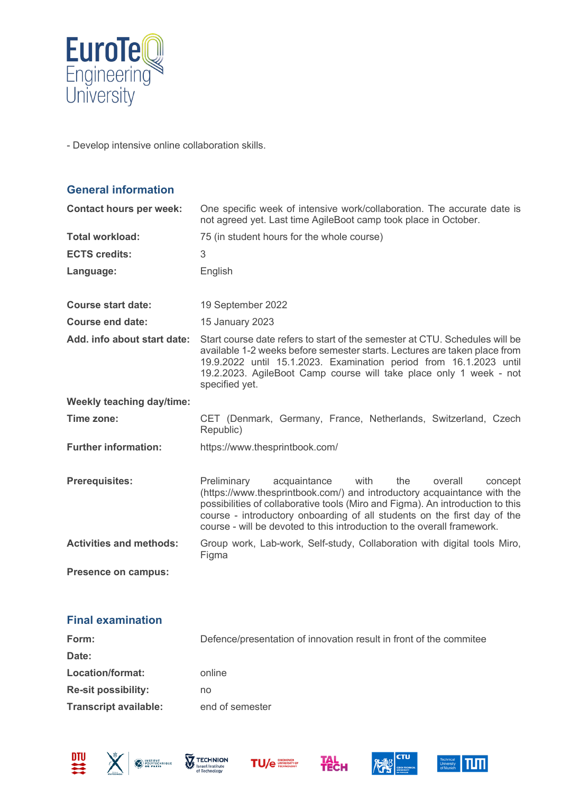

- Develop intensive online collaboration skills.

| <b>General information</b>       |                                                                                                                                                                                                                                                                                                                                                                                      |
|----------------------------------|--------------------------------------------------------------------------------------------------------------------------------------------------------------------------------------------------------------------------------------------------------------------------------------------------------------------------------------------------------------------------------------|
| <b>Contact hours per week:</b>   | One specific week of intensive work/collaboration. The accurate date is<br>not agreed yet. Last time AgileBoot camp took place in October.                                                                                                                                                                                                                                           |
| <b>Total workload:</b>           | 75 (in student hours for the whole course)                                                                                                                                                                                                                                                                                                                                           |
| <b>ECTS credits:</b>             | 3                                                                                                                                                                                                                                                                                                                                                                                    |
| Language:                        | English                                                                                                                                                                                                                                                                                                                                                                              |
| <b>Course start date:</b>        | 19 September 2022                                                                                                                                                                                                                                                                                                                                                                    |
| <b>Course end date:</b>          | 15 January 2023                                                                                                                                                                                                                                                                                                                                                                      |
| Add. info about start date:      | Start course date refers to start of the semester at CTU. Schedules will be<br>available 1-2 weeks before semester starts. Lectures are taken place from<br>19.9.2022 until 15.1.2023. Examination period from 16.1.2023 until<br>19.2.2023. AgileBoot Camp course will take place only 1 week - not<br>specified yet.                                                               |
| <b>Weekly teaching day/time:</b> |                                                                                                                                                                                                                                                                                                                                                                                      |
| Time zone:                       | CET (Denmark, Germany, France, Netherlands, Switzerland, Czech<br>Republic)                                                                                                                                                                                                                                                                                                          |
| <b>Further information:</b>      | https://www.thesprintbook.com/                                                                                                                                                                                                                                                                                                                                                       |
| <b>Prerequisites:</b>            | Preliminary<br>acquaintance<br>with<br>the<br>overall<br>concept<br>(https://www.thesprintbook.com/) and introductory acquaintance with the<br>possibilities of collaborative tools (Miro and Figma). An introduction to this<br>course - introductory onboarding of all students on the first day of the<br>course - will be devoted to this introduction to the overall framework. |
| <b>Activities and methods:</b>   | Group work, Lab-work, Self-study, Collaboration with digital tools Miro,<br>Figma                                                                                                                                                                                                                                                                                                    |
| Presence on campus:              |                                                                                                                                                                                                                                                                                                                                                                                      |

### **Final examination**

| Form:                        | Defence/presentation of innovation result in front of the commitee |
|------------------------------|--------------------------------------------------------------------|
| Date:                        |                                                                    |
| Location/format:             | online                                                             |
| <b>Re-sit possibility:</b>   | no                                                                 |
| <b>Transcript available:</b> | end of semester                                                    |